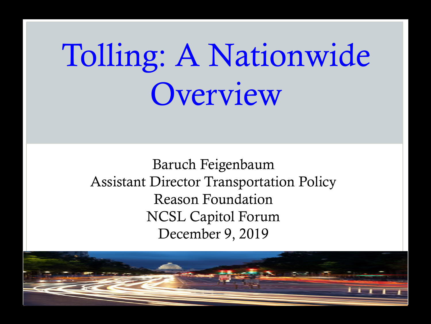# Tolling: A Nationwide Overview

Baruch Feigenbaum Assistant Director Transportation Policy Reason Foundation NCSL Capitol Forum December 9, 2019

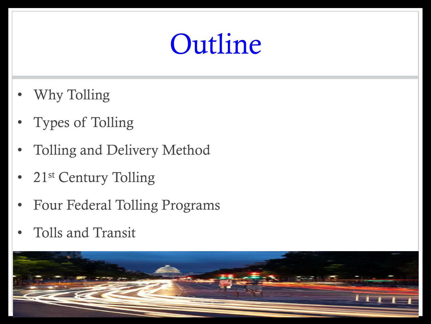## Outline

- Why Tolling
- Types of Tolling
- Tolling and Delivery Method
- 21<sup>st</sup> Century Tolling
- Four Federal Tolling Programs
- Tolls and Transit

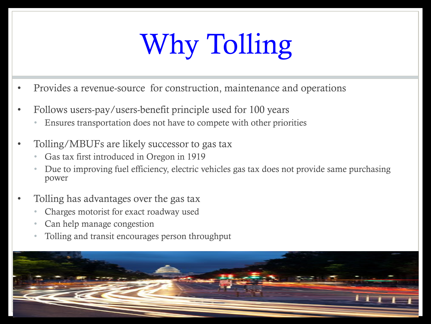## Why Tolling

- Provides a revenue-source for construction, maintenance and operations
- Follows users-pay/users-benefit principle used for 100 years
	- Ensures transportation does not have to compete with other priorities
- Tolling/MBUFs are likely successor to gas tax
	- Gas tax first introduced in Oregon in 1919
	- Due to improving fuel efficiency, electric vehicles gas tax does not provide same purchasing power
- Tolling has advantages over the gas tax
	- Charges motorist for exact roadway used
	- Can help manage congestion
	- Tolling and transit encourages person throughput

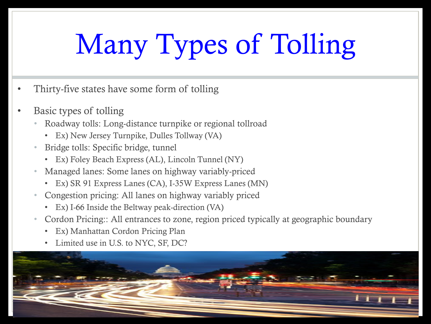# Many Types of Tolling

- Thirty-five states have some form of tolling
- Basic types of tolling
	- Roadway tolls: Long-distance turnpike or regional tollroad
		- Ex) New Jersey Turnpike, Dulles Tollway (VA)
	- Bridge tolls: Specific bridge, tunnel
		- Ex) Foley Beach Express (AL), Lincoln Tunnel (NY)
	- Managed lanes: Some lanes on highway variably-priced
		- Ex) SR 91 Express Lanes (CA), I-35W Express Lanes (MN)
	- Congestion pricing: All lanes on highway variably priced
		- Ex) I-66 Inside the Beltway peak-direction (VA)
	- Cordon Pricing:: All entrances to zone, region priced typically at geographic boundary
		- Ex) Manhattan Cordon Pricing Plan
		- Limited use in U.S. to NYC, SF, DC?

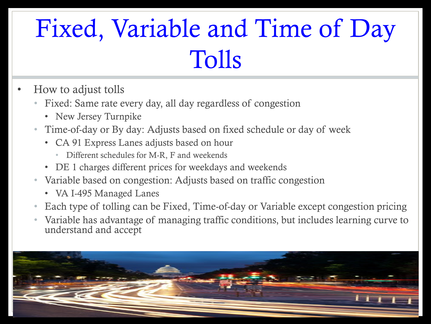#### Fixed, Variable and Time of Day Tolls

- How to adjust tolls
	- Fixed: Same rate every day, all day regardless of congestion
		- New Jersey Turnpike
	- Time-of-day or By day: Adjusts based on fixed schedule or day of week
		- CA 91 Express Lanes adjusts based on hour
			- Different schedules for M-R, F and weekends
		- DE 1 charges different prices for weekdays and weekends
	- Variable based on congestion: Adjusts based on traffic congestion
		- VA I-495 Managed Lanes
	- Each type of tolling can be Fixed, Time-of-day or Variable except congestion pricing
	- Variable has advantage of managing traffic conditions, but includes learning curve to understand and accept

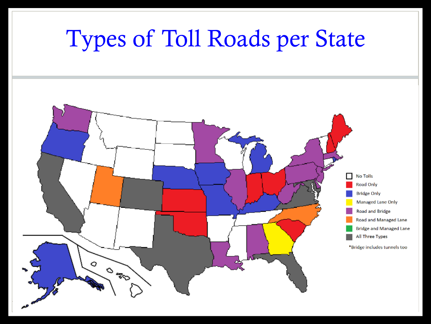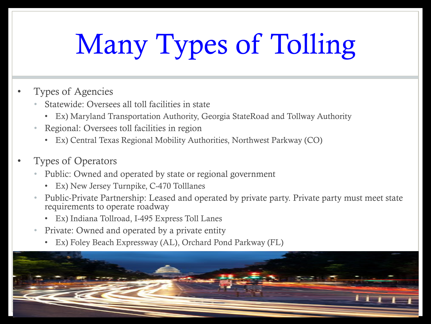# Many Types of Tolling

- Types of Agencies
	- Statewide: Oversees all toll facilities in state
		- Ex) Maryland Transportation Authority, Georgia StateRoad and Tollway Authority
	- Regional: Oversees toll facilities in region
		- Ex) Central Texas Regional Mobility Authorities, Northwest Parkway (CO)
- Types of Operators
	- Public: Owned and operated by state or regional government
		- Ex) New Jersey Turnpike, C-470 Tolllanes
	- Public-Private Partnership: Leased and operated by private party. Private party must meet state requirements to operate roadway
		- Ex) Indiana Tollroad, I-495 Express Toll Lanes
	- Private: Owned and operated by a private entity
		- Ex) Foley Beach Expressway (AL), Orchard Pond Parkway (FL)

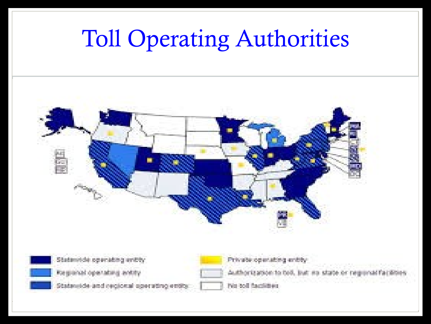#### Toll Operating Authorities





Statemide operating entity Regional operating antity

Statewide and regional operating entity

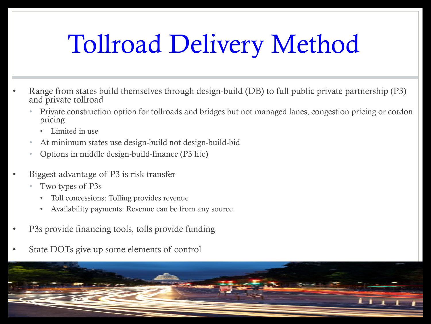### Tollroad Delivery Method

- Range from states build themselves through design-build (DB) to full public private partnership (P3) and private tollroad
	- Private construction option for tollroads and bridges but not managed lanes, congestion pricing or cordon pricing
		- Limited in use
	- At minimum states use design-build not design-build-bid
	- Options in middle design-build-finance (P3 lite)
- Biggest advantage of P3 is risk transfer
	- Two types of P3s
		- Toll concessions: Tolling provides revenue
		- Availability payments: Revenue can be from any source
- P3s provide financing tools, tolls provide funding
- State DOTs give up some elements of control

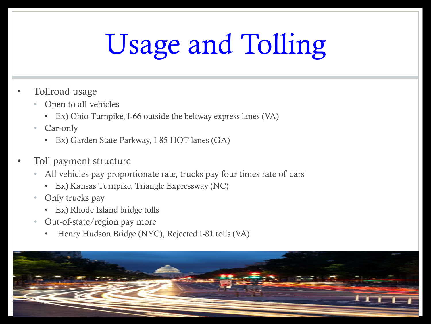# Usage and Tolling

- Tollroad usage
	- Open to all vehicles
		- Ex) Ohio Turnpike, I-66 outside the beltway express lanes (VA)
	- Car-only
		- Ex) Garden State Parkway, I-85 HOT lanes (GA)
- Toll payment structure
	- All vehicles pay proportionate rate, trucks pay four times rate of cars
		- Ex) Kansas Turnpike, Triangle Expressway (NC)
	- Only trucks pay
		- Ex) Rhode Island bridge tolls
	- Out-of-state/region pay more
		- Henry Hudson Bridge (NYC), Rejected I-81 tolls (VA)

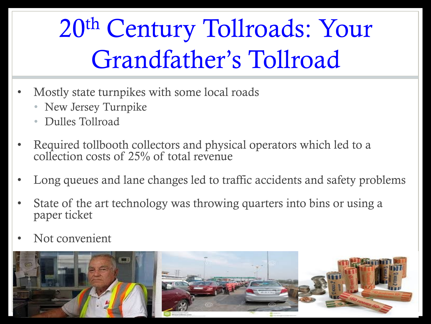20th Century Tollroads: Your Grandfather's Tollroad

- Mostly state turnpikes with some local roads
	- New Jersey Turnpike
	- Dulles Tollroad
- Required tollbooth collectors and physical operators which led to a collection costs of 25% of total revenue
- Long queues and lane changes led to traffic accidents and safety problems
- State of the art technology was throwing quarters into bins or using a paper ticket
- Not convenient

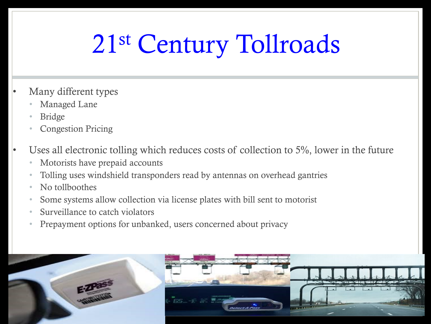### 21st Century Tollroads

- Many different types
	- Managed Lane
	- Bridge
	- Congestion Pricing
- Uses all electronic tolling which reduces costs of collection to 5%, lower in the future
	- Motorists have prepaid accounts
	- Tolling uses windshield transponders read by antennas on overhead gantries
	- No tollboothes
	- Some systems allow collection via license plates with bill sent to motorist
	- Surveillance to catch violators
	- Prepayment options for unbanked, users concerned about privacy

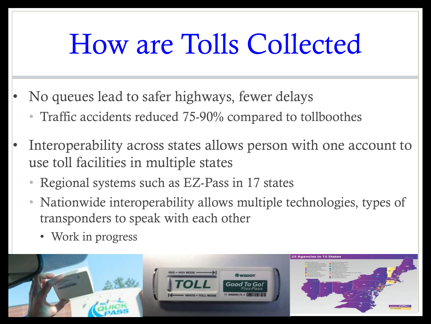## How are Tolls Collected

- No queues lead to safer highways, fewer delays
	- Traffic accidents reduced 75-90% compared to tollboothes
- Interoperability across states allows person with one account to use toll facilities in multiple states
	- Regional systems such as EZ-Pass in 17 states
	- Nationwide interoperability allows multiple technologies, types of transponders to speak with each other
		- Work in progress

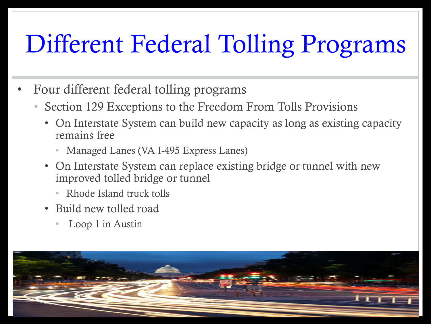#### Different Federal Tolling Programs

- Four different federal tolling programs
	- Section 129 Exceptions to the Freedom From Tolls Provisions
		- On Interstate System can build new capacity as long as existing capacity remains free
			- Managed Lanes (VA I-495 Express Lanes)
		- On Interstate System can replace existing bridge or tunnel with new improved tolled bridge or tunnel
			- Rhode Island truck tolls
		- Build new tolled road
			- Loop 1 in Austin

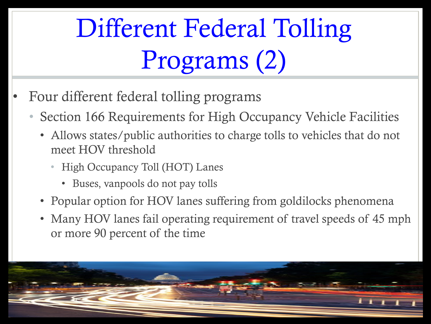### Different Federal Tolling Programs (2)

- Four different federal tolling programs
	- Section 166 Requirements for High Occupancy Vehicle Facilities
		- Allows states/public authorities to charge tolls to vehicles that do not meet HOV threshold
			- High Occupancy Toll (HOT) Lanes
				- Buses, vanpools do not pay tolls
		- Popular option for HOV lanes suffering from goldilocks phenomena
		- Many HOV lanes fail operating requirement of travel speeds of 45 mph or more 90 percent of the time

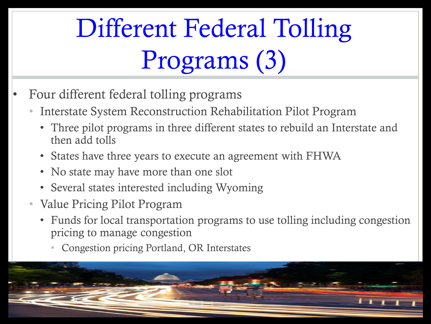## Different Federal Tolling Programs (3)

- Four different federal tolling programs
	- Interstate System Reconstruction Rehabilitation Pilot Program
		- Three pilot programs in three different states to rebuild an Interstate and then add tolls
		- States have three years to execute an agreement with FHWA
		- No state may have more than one slot
		- Several states interested including Wyoming
	- Value Pricing Pilot Program
		- Funds for local transportation programs to use tolling including congestion pricing to manage congestion
			- Congestion pricing Portland, OR Interstates

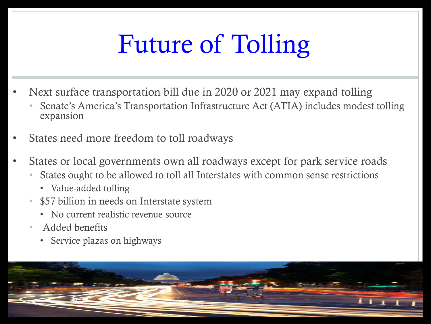### Future of Tolling

- Next surface transportation bill due in 2020 or 2021 may expand tolling
	- Senate's America's Transportation Infrastructure Act (ATIA) includes modest tolling expansion
- States need more freedom to toll roadways
- States or local governments own all roadways except for park service roads
	- States ought to be allowed to toll all Interstates with common sense restrictions
		- Value-added tolling
	- \$57 billion in needs on Interstate system
		- No current realistic revenue source
	- Added benefits
		- Service plazas on highways

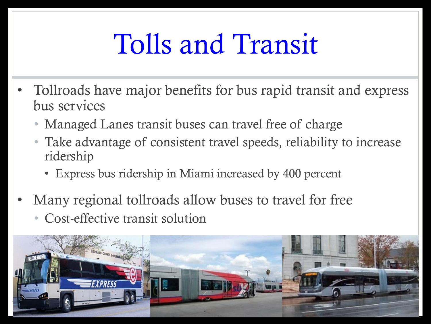## Tolls and Transit

- Tollroads have major benefits for bus rapid transit and express bus services
	- Managed Lanes transit buses can travel free of charge
	- Take advantage of consistent travel speeds, reliability to increase ridership
		- Express bus ridership in Miami increased by 400 percent
- Many regional tollroads allow buses to travel for free • Cost-effective transit solution